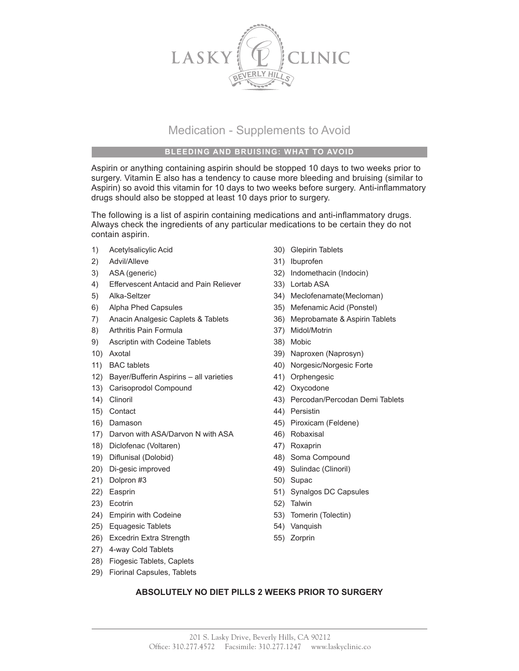

## Medication - Supplements to Avoid

## **BLEEDING AND BRUISING: WHAT TO AVOID**

Aspirin or anything containing aspirin should be stopped 10 days to two weeks prior to surgery. Vitamin E also has a tendency to cause more bleeding and bruising (similar to Aspirin) so avoid this vitamin for 10 days to two weeks before surgery. Anti-inflammatory drugs should also be stopped at least 10 days prior to surgery.

The following is a list of aspirin containing medications and anti-inflammatory drugs. Always check the ingredients of any particular medications to be certain they do not contain aspirin.

- 1) Acetylsalicylic Acid 30) Glepirin Tablets
- 2) Advil/Alleve 31) Ibuprofen
- 
- 4) Effervescent Antacid and Pain Reliever 33) Lortab ASA
- 
- 6) Alpha Phed Capsules 35) Mefenamic Acid (Ponstel)
- 7) Anacin Analgesic Caplets & Tablets 36) Meprobamate & Aspirin Tablets
- 8) Arthritis Pain Formula 37) Midol/Motrin
- 9) Ascriptin with Codeine Tablets 38) Mobic
- 
- 
- 12) Bayer/Bufferin Aspirins all varieties 41) Orphengesic
- 13) Carisoprodol Compound 42) Oxycodone
- 
- 15) Contact 44) Persistin
- 
- 17) Darvon with ASA/Darvon N with ASA 46) Robaxisal
- 18) Diclofenac (Voltaren) 47) Roxaprin
- 19) Diflunisal (Dolobid) 48) Soma Compound
- 20) Di-gesic improved 49) Sulindac (Clinoril)
- 21) Dolpron #3 50) Supac
- 
- 23) Ecotrin 52) Talwin
- 24) Empirin with Codeine **120 Company** 53) Tomerin (Tolectin)
- 25) Equagesic Tablets 54) Vanquish
- 26) Excedrin Extra Strength 55) Zorprin
- 27) 4-way Cold Tablets
- 28) Fiogesic Tablets, Caplets
- 29) Fiorinal Capsules, Tablets
- 
- 
- 3) ASA (generic) 32) Indomethacin (Indocin)
	-
- 5) Alka-Seltzer 34) Meclofenamate(Mecloman)
	-
	-
	-
	-
- 10) Axotal 39) Naproxen (Naprosyn)
- 11) BAC tablets 40) Norgesic/Norgesic Forte
	-
	-
- 14) Clinoril 43) Percodan/Percodan Demi Tablets
	-
- 16) Damason 45) Piroxicam (Feldene)
	-
	-
	-
	-
	-
- 22) Easprin 31 Synalgos DC Capsules
	-
	-
	-
	-

## **ABSOLUTELY NO DIET PILLS 2 WEEKS PRIOR TO SURGERY**